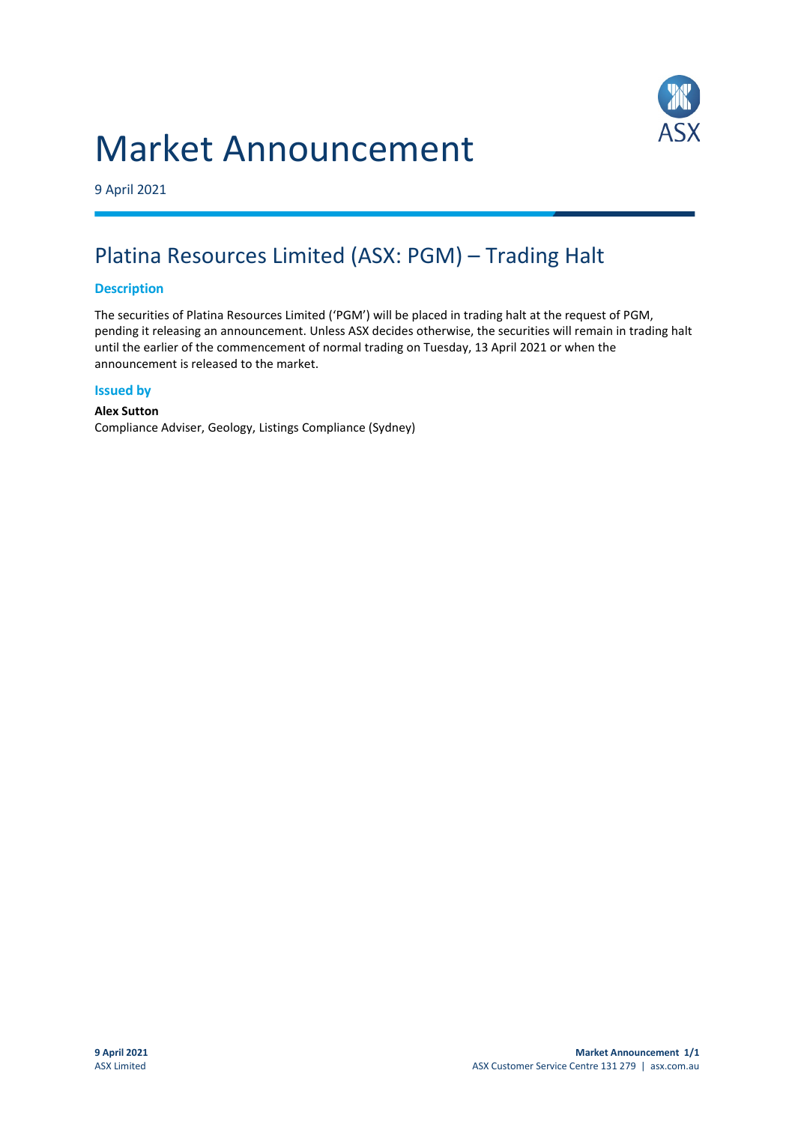# Market Announcement



9 April 2021

### Platina Resources Limited (ASX: PGM) – Trading Halt

#### **Description**

The securities of Platina Resources Limited ('PGM') will be placed in trading halt at the request of PGM, pending it releasing an announcement. Unless ASX decides otherwise, the securities will remain in trading halt until the earlier of the commencement of normal trading on Tuesday, 13 April 2021 or when the announcement is released to the market.

#### **Issued by**

**Alex Sutton** Compliance Adviser, Geology, Listings Compliance (Sydney)